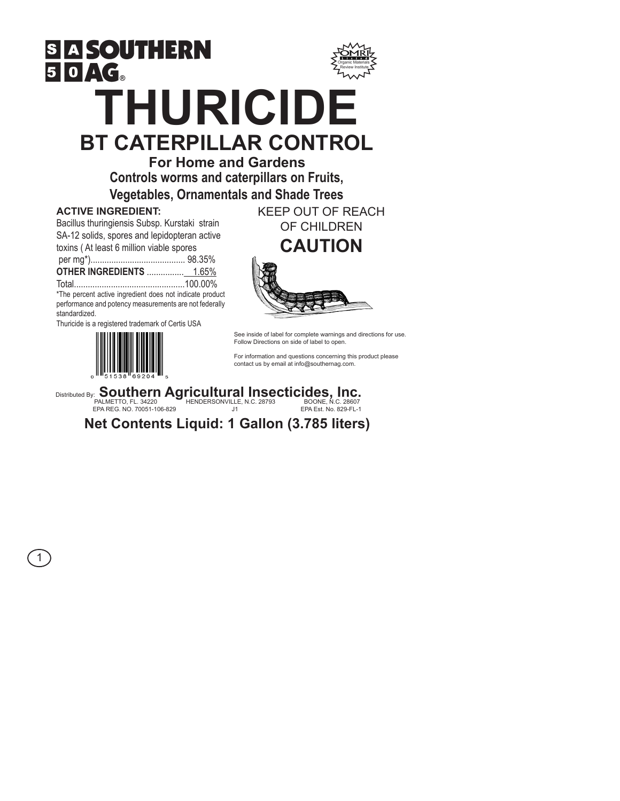

# **BT CATERPILLAR CONTROL**

**For Home and Gardens Controls worms and caterpillars on Fruits,** 

**Vegetables, Ornamentals and Shade Trees**

## **ACTIVE INGREDIENT:**

Bacillus thuringiensis Subsp. Kurstaki strain SA-12 solids, spores and lepidopteran active

toxins ( At least 6 million viable spores

per mg\*)......................................... 98.35%

**OTHER INGREDIENTS** ................ 1.65% Total................................................100.00%

\*The percent active ingredient does not indicate product performance and potency measurements are not federally standardized.

Thuricide is a registered trademark of Certis USA



KEEP OUT OF REACH OF CHILDREN **CAUTION**



See inside of label for complete warnings and directions for use. Follow Directions on side of label to open.

For information and questions concerning this product please contact us by email at info@southernag.com.

Distributed By: **Southern Agricultural Insecticides, Inc.**<br>
FALMETTO, FL. 34220<br>
EPA REG. NO. 70051-106-829<br>
DRAES. NO. 70051-106-829

PALMETTO, FL. 34220 HENDERSONVILLE, N.C. 28793 BOONE, N.C. 28607<br>EPA REG. NO. 70051-106-829 J1 EPA Est. No. 829-FL-1

1

**Net Contents Liquid: 1 Gallon (3.785 liters)**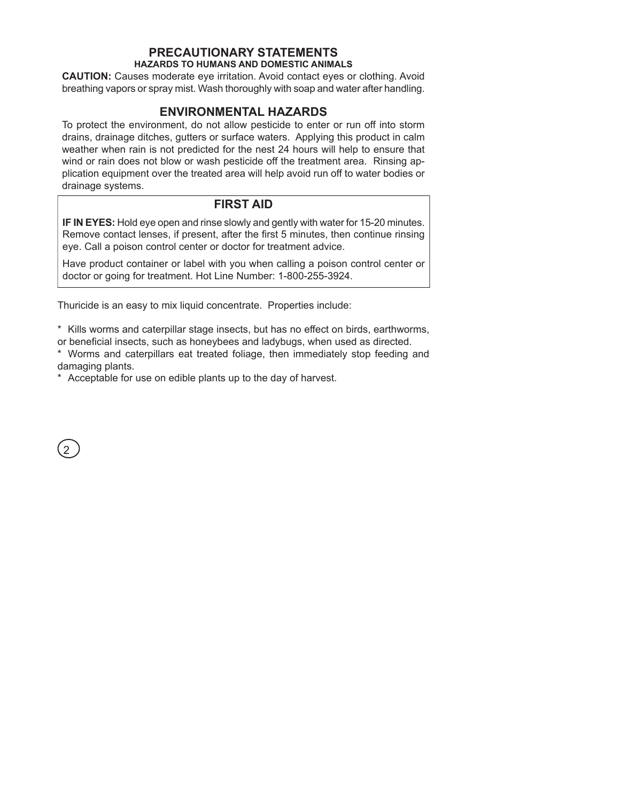#### **PRECAUTIONARY STATEMENTS HAZARDS TO HUMANS AND DOMESTIC ANIMALS**

**CAUTION:** Causes moderate eye irritation. Avoid contact eyes or clothing. Avoid breathing vapors or spray mist. Wash thoroughly with soap and water after handling.

# **ENVIRONMENTAL HAZARDS**

To protect the environment, do not allow pesticide to enter or run off into storm drains, drainage ditches, gutters or surface waters. Applying this product in calm weather when rain is not predicted for the nest 24 hours will help to ensure that wind or rain does not blow or wash pesticide off the treatment area. Rinsing application equipment over the treated area will help avoid run off to water bodies or drainage systems.

## **FIRST AID**

**IF IN EYES:** Hold eye open and rinse slowly and gently with water for 15-20 minutes. Remove contact lenses, if present, after the first 5 minutes, then continue rinsing eye. Call a poison control center or doctor for treatment advice.

Have product container or label with you when calling a poison control center or doctor or going for treatment. Hot Line Number: 1-800-255-3924.

Thuricide is an easy to mix liquid concentrate. Properties include:

\* Kills worms and caterpillar stage insects, but has no effect on birds, earthworms, or beneficial insects, such as honeybees and ladybugs, when used as directed.

\* Worms and caterpillars eat treated foliage, then immediately stop feeding and damaging plants.

\* Acceptable for use on edible plants up to the day of harvest.

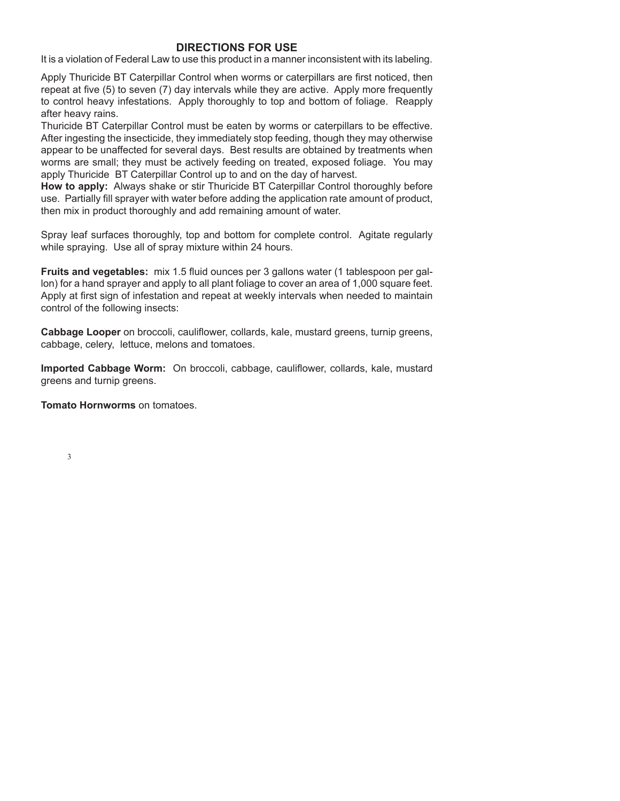#### **DIRECTIONS FOR USE**

It is a violation of Federal Law to use this product in a manner inconsistent with its labeling.

Apply Thuricide BT Caterpillar Control when worms or caterpillars are first noticed, then repeat at five (5) to seven (7) day intervals while they are active. Apply more frequently to control heavy infestations. Apply thoroughly to top and bottom of foliage. Reapply after heavy rains.

Thuricide BT Caterpillar Control must be eaten by worms or caterpillars to be effective. After ingesting the insecticide, they immediately stop feeding, though they may otherwise appear to be unaffected for several days. Best results are obtained by treatments when worms are small; they must be actively feeding on treated, exposed foliage. You may apply Thuricide BT Caterpillar Control up to and on the day of harvest.

**How to apply:** Always shake or stir Thuricide BT Caterpillar Control thoroughly before use. Partially fill sprayer with water before adding the application rate amount of product, then mix in product thoroughly and add remaining amount of water.

Spray leaf surfaces thoroughly, top and bottom for complete control. Agitate regularly while spraying. Use all of spray mixture within 24 hours.

**Fruits and vegetables:** mix 1.5 fluid ounces per 3 gallons water (1 tablespoon per gallon) for a hand sprayer and apply to all plant foliage to cover an area of 1,000 square feet. Apply at first sign of infestation and repeat at weekly intervals when needed to maintain control of the following insects:

**Cabbage Looper** on broccoli, cauliflower, collards, kale, mustard greens, turnip greens, cabbage, celery, lettuce, melons and tomatoes.

**Imported Cabbage Worm:** On broccoli, cabbage, cauliflower, collards, kale, mustard greens and turnip greens.

**Tomato Hornworms** on tomatoes.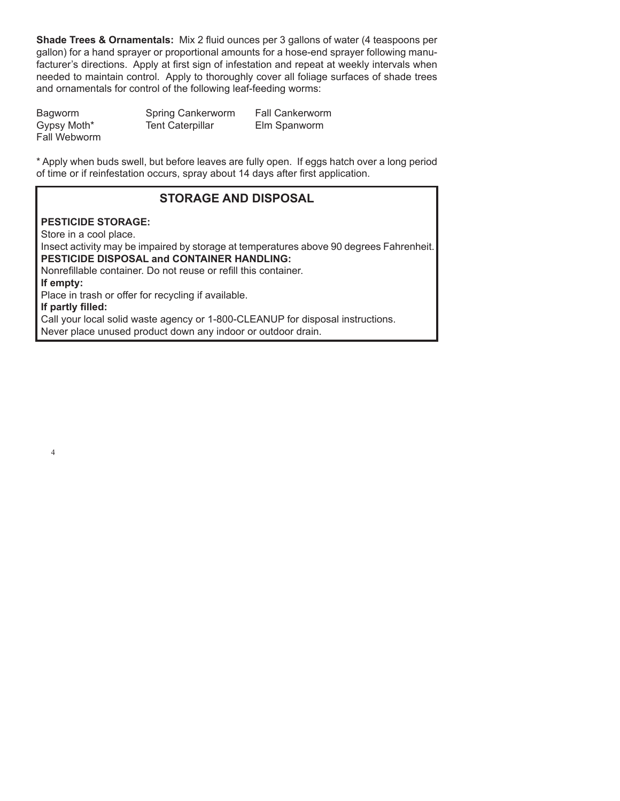**Shade Trees & Ornamentals:** Mix 2 fluid ounces per 3 gallons of water (4 teaspoons per gallon) for a hand sprayer or proportional amounts for a hose-end sprayer following manufacturer's directions. Apply at first sign of infestation and repeat at weekly intervals when needed to maintain control. Apply to thoroughly cover all foliage surfaces of shade trees and ornamentals for control of the following leaf-feeding worms:

Bagworm Spring Cankerworm Fall Cankerworm Gypsy Moth\* Tent Caterpillar Elm Spanworm Fall Webworm

\* Apply when buds swell, but before leaves are fully open. If eggs hatch over a long period of time or if reinfestation occurs, spray about 14 days after first application.

# **STORAGE AND DISPOSAL**

### **PESTICIDE STORAGE:**

Store in a cool place.

Insect activity may be impaired by storage at temperatures above 90 degrees Fahrenheit. **PESTICIDE DISPOSAL and CONTAINER HANDLING:**

Nonrefillable container. Do not reuse or refill this container.

**If empty:**

Place in trash or offer for recycling if available.

**If partly filled:** 

Call your local solid waste agency or 1-800-CLEANUP for disposal instructions. Never place unused product down any indoor or outdoor drain.